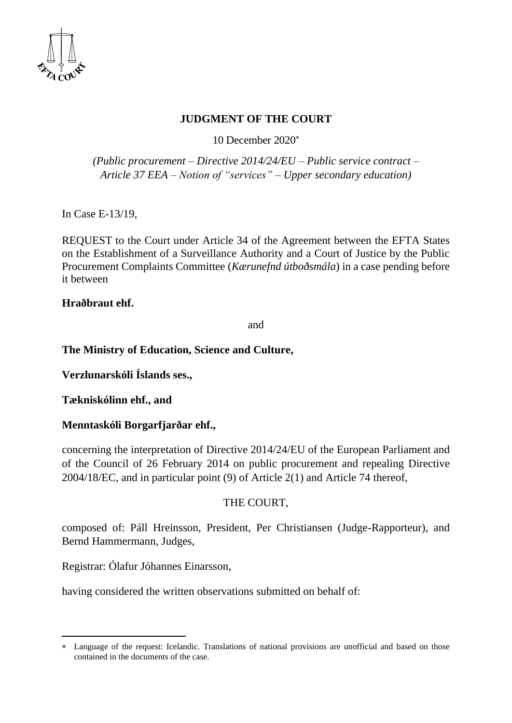

# **JUDGMENT OF THE COURT**

10 December 2020

*(Public procurement – Directive 2014/24/EU – Public service contract – Article 37 EEA – Notion of "services" – Upper secondary education)*

In Case E-13/19,

REQUEST to the Court under Article 34 of the Agreement between the EFTA States on the Establishment of a Surveillance Authority and a Court of Justice by the Public Procurement Complaints Committee (*Kærunefnd útboðsmála*) in a case pending before it between

### **Hraðbraut ehf.**

and

### **The Ministry of Education, Science and Culture,**

**Verzlunarskóli Íslands ses.,**

**Tækniskólinn ehf., and** 

### **Menntaskóli Borgarfjarðar ehf.,**

concerning the interpretation of Directive 2014/24/EU of the European Parliament and of the Council of 26 February 2014 on public procurement and repealing Directive 2004/18/EC, and in particular point (9) of Article 2(1) and Article 74 thereof,

### THE COURT,

composed of: Páll Hreinsson, President, Per Christiansen (Judge-Rapporteur), and Bernd Hammermann, Judges,

Registrar: Ólafur Jóhannes Einarsson,

having considered the written observations submitted on behalf of:

Language of the request: Icelandic. Translations of national provisions are unofficial and based on those contained in the documents of the case.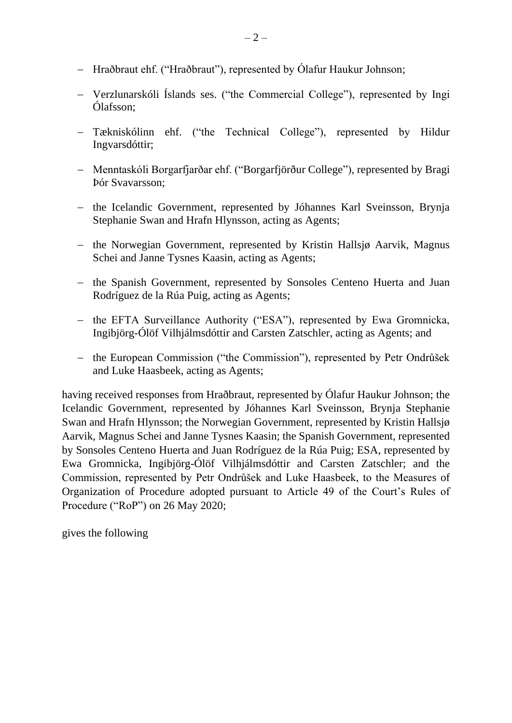- − Hraðbraut ehf. ("Hraðbraut"), represented by Ólafur Haukur Johnson;
- − Verzlunarskóli Íslands ses. ("the Commercial College"), represented by Ingi Ólafsson;
- − Tækniskólinn ehf. ("the Technical College"), represented by Hildur Ingvarsdóttir;
- − Menntaskóli Borgarfjarðar ehf. ("Borgarfjörður College"), represented by Bragi Þór Svavarsson;
- − the Icelandic Government, represented by Jóhannes Karl Sveinsson, Brynja Stephanie Swan and Hrafn Hlynsson, acting as Agents;
- − the Norwegian Government, represented by Kristin Hallsjø Aarvik, Magnus Schei and Janne Tysnes Kaasin, acting as Agents;
- − the Spanish Government, represented by Sonsoles Centeno Huerta and Juan Rodríguez de la Rúa Puig, acting as Agents;
- − the EFTA Surveillance Authority ("ESA"), represented by Ewa Gromnicka, Ingibjörg-Ólöf Vilhjálmsdóttir and Carsten Zatschler, acting as Agents; and
- − the European Commission ("the Commission"), represented by Petr Ondrůšek and Luke Haasbeek, acting as Agents;

having received responses from Hraðbraut, represented by Ólafur Haukur Johnson; the Icelandic Government, represented by Jóhannes Karl Sveinsson, Brynja Stephanie Swan and Hrafn Hlynsson; the Norwegian Government, represented by Kristin Hallsjø Aarvik, Magnus Schei and Janne Tysnes Kaasin; the Spanish Government, represented by Sonsoles Centeno Huerta and Juan Rodríguez de la Rúa Puig; ESA, represented by Ewa Gromnicka, Ingibjörg-Ólöf Vilhjálmsdóttir and Carsten Zatschler; and the Commission, represented by Petr Ondrůšek and Luke Haasbeek, to the Measures of Organization of Procedure adopted pursuant to Article 49 of the Court's Rules of Procedure ("RoP") on 26 May 2020;

gives the following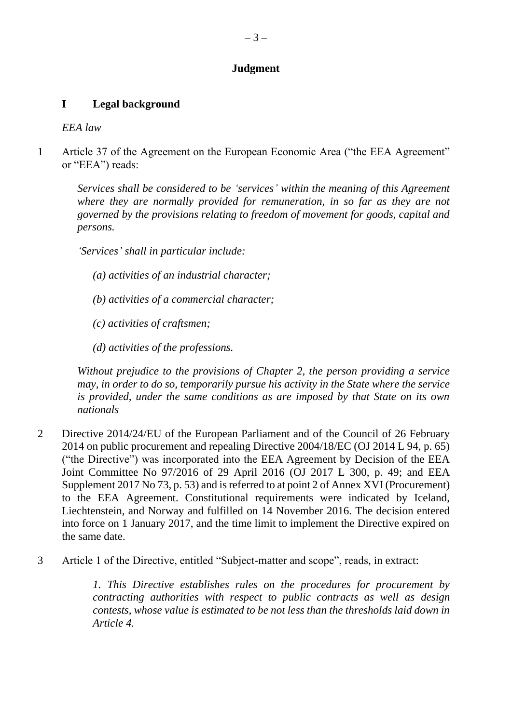# **Judgment**

# **I Legal background**

*EEA law*

1 Article 37 of the Agreement on the European Economic Area ("the EEA Agreement" or "EEA") reads:

*Services shall be considered to be 'services' within the meaning of this Agreement where they are normally provided for remuneration, in so far as they are not governed by the provisions relating to freedom of movement for goods, capital and persons.*

*'Services' shall in particular include:*

- *(a) activities of an industrial character;*
- *(b) activities of a commercial character;*
- *(c) activities of craftsmen;*
- *(d) activities of the professions.*

*Without prejudice to the provisions of Chapter 2, the person providing a service may, in order to do so, temporarily pursue his activity in the State where the service is provided, under the same conditions as are imposed by that State on its own nationals*

- 2 Directive 2014/24/EU of the European Parliament and of the Council of 26 February 2014 on public procurement and repealing Directive 2004/18/EC (OJ 2014 L 94, p. 65) ("the Directive") was incorporated into the EEA Agreement by Decision of the EEA Joint Committee No 97/2016 of 29 April 2016 (OJ 2017 L 300, p. 49; and [EEA](http://www.efta.int/media/documents/legal-texts/eea/other-legal-documents/adopted-joint-committee-decisions/2007%20-%20Norwegian/158-2007n.pdf)  [Supplement 2017 No 73, p. 5](http://www.efta.int/media/documents/legal-texts/eea/other-legal-documents/adopted-joint-committee-decisions/2007%20-%20Norwegian/158-2007n.pdf)3) and is referred to at point 2 of Annex XVI (Procurement) to the EEA Agreement. Constitutional requirements were indicated by Iceland, Liechtenstein, and Norway and fulfilled on 14 November 2016. The decision entered into force on 1 January 2017, and the time limit to implement the Directive expired on the same date.
- 3 Article 1 of the Directive, entitled "Subject-matter and scope", reads, in extract:

*1. This Directive establishes rules on the procedures for procurement by contracting authorities with respect to public contracts as well as design contests, whose value is estimated to be not less than the thresholds laid down in Article 4.*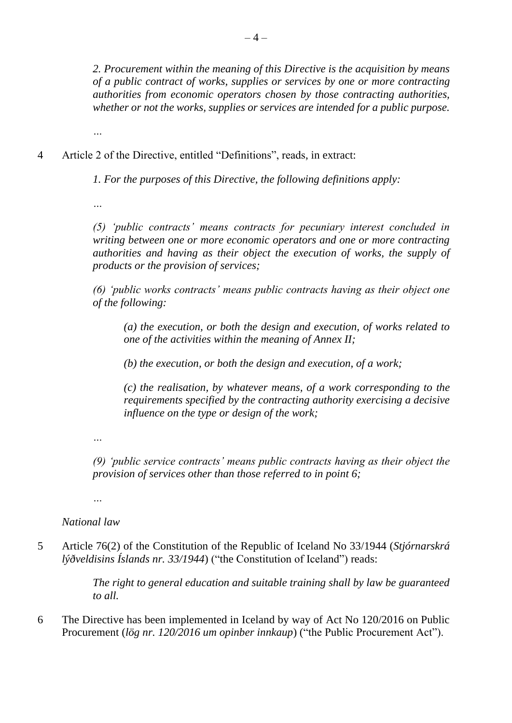*2. Procurement within the meaning of this Directive is the acquisition by means of a public contract of works, supplies or services by one or more contracting authorities from economic operators chosen by those contracting authorities, whether or not the works, supplies or services are intended for a public purpose.*

4 Article 2 of the Directive, entitled "Definitions", reads, in extract:

*1. For the purposes of this Directive, the following definitions apply:*

*…*

*…*

*(5) 'public contracts' means contracts for pecuniary interest concluded in writing between one or more economic operators and one or more contracting authorities and having as their object the execution of works, the supply of products or the provision of services;* 

*(6) 'public works contracts' means public contracts having as their object one of the following:*

*(a) the execution, or both the design and execution, of works related to one of the activities within the meaning of Annex II;*

*(b) the execution, or both the design and execution, of a work;*

*(c) the realisation, by whatever means, of a work corresponding to the requirements specified by the contracting authority exercising a decisive influence on the type or design of the work;* 

*…*

*(9) 'public service contracts' means public contracts having as their object the provision of services other than those referred to in point 6;* 

*…*

*National law*

5 Article 76(2) of the Constitution of the Republic of Iceland No 33/1944 (*Stjórnarskrá lýðveldisins Íslands nr. 33/1944*) ("the Constitution of Iceland") reads:

> *The right to general education and suitable training shall by law be guaranteed to all.*

6 The Directive has been implemented in Iceland by way of Act No 120/2016 on Public Procurement (*lög nr. 120/2016 um opinber innkaup*) ("the Public Procurement Act").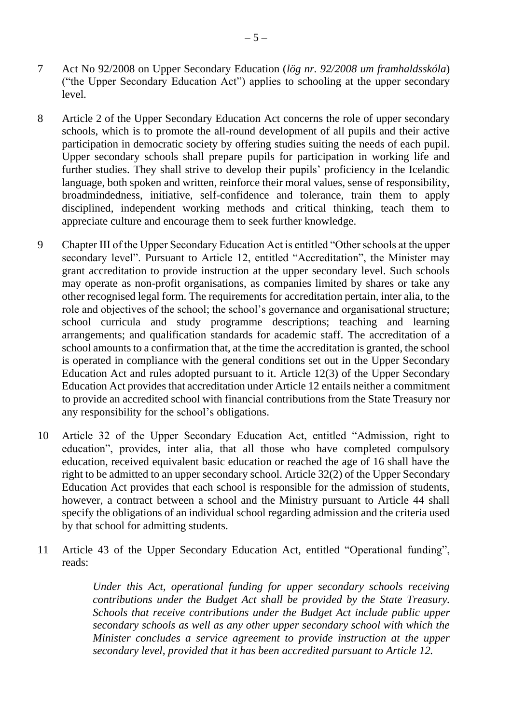- 7 Act No 92/2008 on Upper Secondary Education (*lög nr. 92/2008 um framhaldsskóla*) ("the Upper Secondary Education Act") applies to schooling at the upper secondary level.
- 8 Article 2 of the Upper Secondary Education Act concerns the role of upper secondary schools, which is to promote the all-round development of all pupils and their active participation in democratic society by offering studies suiting the needs of each pupil. Upper secondary schools shall prepare pupils for participation in working life and further studies. They shall strive to develop their pupils' proficiency in the Icelandic language, both spoken and written, reinforce their moral values, sense of responsibility, broadmindedness, initiative, self-confidence and tolerance, train them to apply disciplined, independent working methods and critical thinking, teach them to appreciate culture and encourage them to seek further knowledge.
- 9 Chapter III of the Upper Secondary Education Act is entitled "Other schools at the upper secondary level". Pursuant to Article 12, entitled "Accreditation", the Minister may grant accreditation to provide instruction at the upper secondary level. Such schools may operate as non-profit organisations, as companies limited by shares or take any other recognised legal form. The requirements for accreditation pertain, inter alia, to the role and objectives of the school; the school's governance and organisational structure; school curricula and study programme descriptions; teaching and learning arrangements; and qualification standards for academic staff. The accreditation of a school amounts to a confirmation that, at the time the accreditation is granted, the school is operated in compliance with the general conditions set out in the Upper Secondary Education Act and rules adopted pursuant to it. Article 12(3) of the Upper Secondary Education Act provides that accreditation under Article 12 entails neither a commitment to provide an accredited school with financial contributions from the State Treasury nor any responsibility for the school's obligations.
- 10 Article 32 of the Upper Secondary Education Act, entitled "Admission, right to education", provides, inter alia, that all those who have completed compulsory education, received equivalent basic education or reached the age of 16 shall have the right to be admitted to an upper secondary school. Article 32(2) of the Upper Secondary Education Act provides that each school is responsible for the admission of students, however, a contract between a school and the Ministry pursuant to Article 44 shall specify the obligations of an individual school regarding admission and the criteria used by that school for admitting students.
- 11 Article 43 of the Upper Secondary Education Act, entitled "Operational funding", reads:

*Under this Act, operational funding for upper secondary schools receiving contributions under the Budget Act shall be provided by the State Treasury. Schools that receive contributions under the Budget Act include public upper secondary schools as well as any other upper secondary school with which the Minister concludes a service agreement to provide instruction at the upper secondary level, provided that it has been accredited pursuant to Article 12.*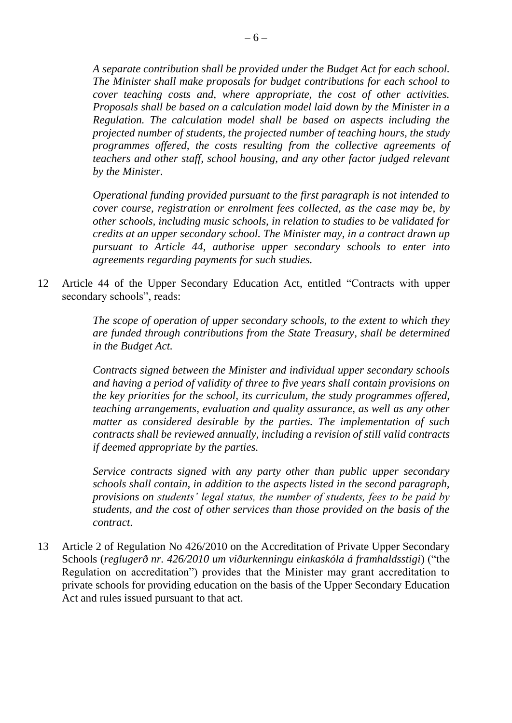*A separate contribution shall be provided under the Budget Act for each school. The Minister shall make proposals for budget contributions for each school to cover teaching costs and, where appropriate, the cost of other activities. Proposals shall be based on a calculation model laid down by the Minister in a Regulation. The calculation model shall be based on aspects including the projected number of students, the projected number of teaching hours, the study programmes offered, the costs resulting from the collective agreements of teachers and other staff, school housing, and any other factor judged relevant by the Minister.* 

*Operational funding provided pursuant to the first paragraph is not intended to cover course, registration or enrolment fees collected, as the case may be, by other schools, including music schools, in relation to studies to be validated for credits at an upper secondary school. The Minister may, in a contract drawn up pursuant to Article 44, authorise upper secondary schools to enter into agreements regarding payments for such studies.*

12 Article 44 of the Upper Secondary Education Act, entitled "Contracts with upper secondary schools", reads:

> *The scope of operation of upper secondary schools, to the extent to which they are funded through contributions from the State Treasury, shall be determined in the Budget Act.*

> *Contracts signed between the Minister and individual upper secondary schools and having a period of validity of three to five years shall contain provisions on the key priorities for the school, its curriculum, the study programmes offered, teaching arrangements, evaluation and quality assurance, as well as any other matter as considered desirable by the parties. The implementation of such contracts shall be reviewed annually, including a revision of still valid contracts if deemed appropriate by the parties.*

> *Service contracts signed with any party other than public upper secondary schools shall contain, in addition to the aspects listed in the second paragraph, provisions on students' legal status, the number of students, fees to be paid by students, and the cost of other services than those provided on the basis of the contract*.

13 Article 2 of Regulation No 426/2010 on the Accreditation of Private Upper Secondary Schools (*reglugerð nr. 426/2010 um viðurkenningu einkaskóla á framhaldsstigi*) ("the Regulation on accreditation") provides that the Minister may grant accreditation to private schools for providing education on the basis of the Upper Secondary Education Act and rules issued pursuant to that act.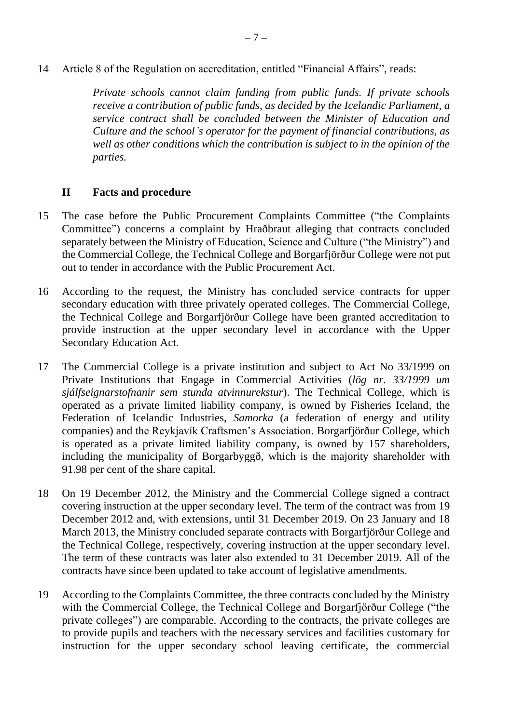14 Article 8 of the Regulation on accreditation, entitled "Financial Affairs", reads:

*Private schools cannot claim funding from public funds. If private schools receive a contribution of public funds, as decided by the Icelandic Parliament, a service contract shall be concluded between the Minister of Education and Culture and the school's operator for the payment of financial contributions, as well as other conditions which the contribution is subject to in the opinion of the parties.* 

### **II Facts and procedure**

- 15 The case before the Public Procurement Complaints Committee ("the Complaints Committee") concerns a complaint by Hraðbraut alleging that contracts concluded separately between the Ministry of Education, Science and Culture ("the Ministry") and the Commercial College, the Technical College and Borgarfjörður College were not put out to tender in accordance with the Public Procurement Act.
- 16 According to the request, the Ministry has concluded service contracts for upper secondary education with three privately operated colleges. The Commercial College, the Technical College and Borgarfjörður College have been granted accreditation to provide instruction at the upper secondary level in accordance with the Upper Secondary Education Act.
- 17 The Commercial College is a private institution and subject to Act No 33/1999 on Private Institutions that Engage in Commercial Activities (*lög nr. 33/1999 um sjálfseignarstofnanir sem stunda atvinnurekstur*). The Technical College, which is operated as a private limited liability company, is owned by Fisheries Iceland, the Federation of Icelandic Industries, *Samorka* (a federation of energy and utility companies) and the Reykjavík Craftsmen's Association. Borgarfjörður College, which is operated as a private limited liability company, is owned by 157 shareholders, including the municipality of Borgarbyggð, which is the majority shareholder with 91.98 per cent of the share capital.
- 18 On 19 December 2012, the Ministry and the Commercial College signed a contract covering instruction at the upper secondary level. The term of the contract was from 19 December 2012 and, with extensions, until 31 December 2019. On 23 January and 18 March 2013, the Ministry concluded separate contracts with Borgarfjörður College and the Technical College, respectively, covering instruction at the upper secondary level. The term of these contracts was later also extended to 31 December 2019. All of the contracts have since been updated to take account of legislative amendments.
- 19 According to the Complaints Committee, the three contracts concluded by the Ministry with the Commercial College, the Technical College and Borgarfjörður College ("the private colleges") are comparable. According to the contracts, the private colleges are to provide pupils and teachers with the necessary services and facilities customary for instruction for the upper secondary school leaving certificate, the commercial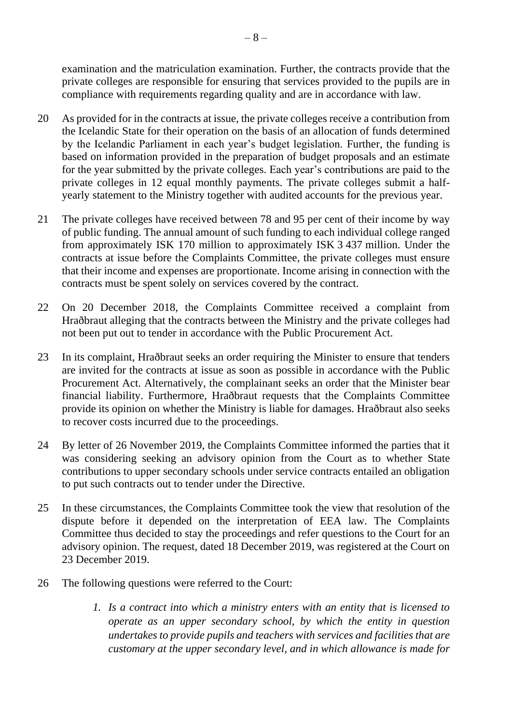examination and the matriculation examination. Further, the contracts provide that the private colleges are responsible for ensuring that services provided to the pupils are in compliance with requirements regarding quality and are in accordance with law.

- 20 As provided for in the contracts at issue, the private colleges receive a contribution from the Icelandic State for their operation on the basis of an allocation of funds determined by the Icelandic Parliament in each year's budget legislation. Further, the funding is based on information provided in the preparation of budget proposals and an estimate for the year submitted by the private colleges. Each year's contributions are paid to the private colleges in 12 equal monthly payments. The private colleges submit a halfyearly statement to the Ministry together with audited accounts for the previous year.
- 21 The private colleges have received between 78 and 95 per cent of their income by way of public funding. The annual amount of such funding to each individual college ranged from approximately ISK 170 million to approximately ISK 3 437 million. Under the contracts at issue before the Complaints Committee, the private colleges must ensure that their income and expenses are proportionate. Income arising in connection with the contracts must be spent solely on services covered by the contract.
- 22 On 20 December 2018, the Complaints Committee received a complaint from Hraðbraut alleging that the contracts between the Ministry and the private colleges had not been put out to tender in accordance with the Public Procurement Act.
- 23 In its complaint, Hraðbraut seeks an order requiring the Minister to ensure that tenders are invited for the contracts at issue as soon as possible in accordance with the Public Procurement Act. Alternatively, the complainant seeks an order that the Minister bear financial liability. Furthermore, Hraðbraut requests that the Complaints Committee provide its opinion on whether the Ministry is liable for damages. Hraðbraut also seeks to recover costs incurred due to the proceedings.
- 24 By letter of 26 November 2019, the Complaints Committee informed the parties that it was considering seeking an advisory opinion from the Court as to whether State contributions to upper secondary schools under service contracts entailed an obligation to put such contracts out to tender under the Directive.
- 25 In these circumstances, the Complaints Committee took the view that resolution of the dispute before it depended on the interpretation of EEA law. The Complaints Committee thus decided to stay the proceedings and refer questions to the Court for an advisory opinion. The request, dated 18 December 2019, was registered at the Court on 23 December 2019.
- 26 The following questions were referred to the Court:
	- *1. Is a contract into which a ministry enters with an entity that is licensed to operate as an upper secondary school, by which the entity in question undertakes to provide pupils and teachers with services and facilities that are customary at the upper secondary level, and in which allowance is made for*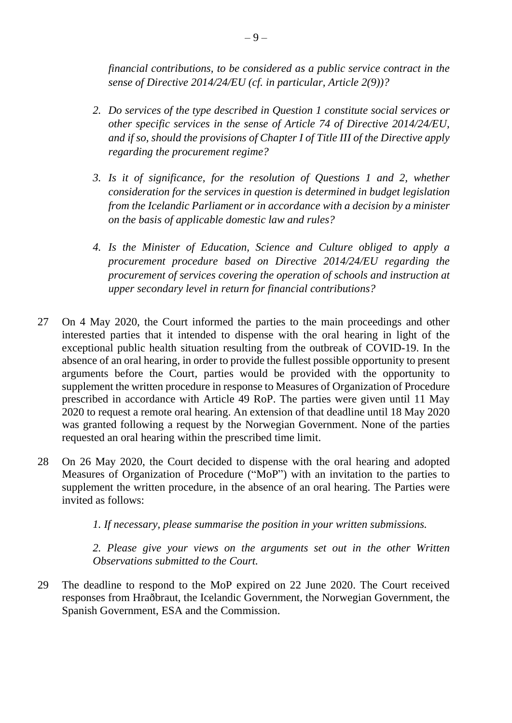*financial contributions, to be considered as a public service contract in the sense of Directive 2014/24/EU (cf. in particular, Article 2(9))?*

- *2. Do services of the type described in Question 1 constitute social services or other specific services in the sense of Article 74 of Directive 2014/24/EU, and if so, should the provisions of Chapter I of Title III of the Directive apply regarding the procurement regime?*
- *3. Is it of significance, for the resolution of Questions 1 and 2, whether consideration for the services in question is determined in budget legislation from the Icelandic Parliament or in accordance with a decision by a minister on the basis of applicable domestic law and rules?*
- *4. Is the Minister of Education, Science and Culture obliged to apply a procurement procedure based on Directive 2014/24/EU regarding the procurement of services covering the operation of schools and instruction at upper secondary level in return for financial contributions?*
- 27 On 4 May 2020, the Court informed the parties to the main proceedings and other interested parties that it intended to dispense with the oral hearing in light of the exceptional public health situation resulting from the outbreak of COVID-19. In the absence of an oral hearing, in order to provide the fullest possible opportunity to present arguments before the Court, parties would be provided with the opportunity to supplement the written procedure in response to Measures of Organization of Procedure prescribed in accordance with Article 49 RoP. The parties were given until 11 May 2020 to request a remote oral hearing. An extension of that deadline until 18 May 2020 was granted following a request by the Norwegian Government. None of the parties requested an oral hearing within the prescribed time limit.
- 28 On 26 May 2020, the Court decided to dispense with the oral hearing and adopted Measures of Organization of Procedure ("MoP") with an invitation to the parties to supplement the written procedure, in the absence of an oral hearing. The Parties were invited as follows:

*1. If necessary, please summarise the position in your written submissions.*

*2. Please give your views on the arguments set out in the other Written Observations submitted to the Court.*

29 The deadline to respond to the MoP expired on 22 June 2020. The Court received responses from Hraðbraut, the Icelandic Government, the Norwegian Government, the Spanish Government, ESA and the Commission.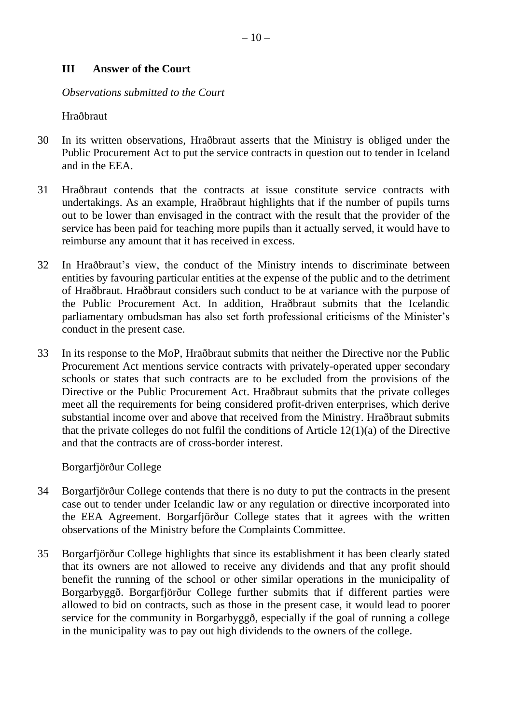#### **III Answer of the Court**

*Observations submitted to the Court*

Hraðbraut

- 30 In its written observations, Hraðbraut asserts that the Ministry is obliged under the Public Procurement Act to put the service contracts in question out to tender in Iceland and in the EEA.
- 31 Hraðbraut contends that the contracts at issue constitute service contracts with undertakings. As an example, Hraðbraut highlights that if the number of pupils turns out to be lower than envisaged in the contract with the result that the provider of the service has been paid for teaching more pupils than it actually served, it would have to reimburse any amount that it has received in excess.
- 32 In Hraðbraut's view, the conduct of the Ministry intends to discriminate between entities by favouring particular entities at the expense of the public and to the detriment of Hraðbraut. Hraðbraut considers such conduct to be at variance with the purpose of the Public Procurement Act. In addition, Hraðbraut submits that the Icelandic parliamentary ombudsman has also set forth professional criticisms of the Minister's conduct in the present case.
- 33 In its response to the MoP, Hraðbraut submits that neither the Directive nor the Public Procurement Act mentions service contracts with privately-operated upper secondary schools or states that such contracts are to be excluded from the provisions of the Directive or the Public Procurement Act. Hraðbraut submits that the private colleges meet all the requirements for being considered profit-driven enterprises, which derive substantial income over and above that received from the Ministry. Hraðbraut submits that the private colleges do not fulfil the conditions of Article 12(1)(a) of the Directive and that the contracts are of cross-border interest.

Borgarfjörður College

- 34 Borgarfjörður College contends that there is no duty to put the contracts in the present case out to tender under Icelandic law or any regulation or directive incorporated into the EEA Agreement. Borgarfjörður College states that it agrees with the written observations of the Ministry before the Complaints Committee.
- 35 Borgarfjörður College highlights that since its establishment it has been clearly stated that its owners are not allowed to receive any dividends and that any profit should benefit the running of the school or other similar operations in the municipality of Borgarbyggð. Borgarfjörður College further submits that if different parties were allowed to bid on contracts, such as those in the present case, it would lead to poorer service for the community in Borgarbyggð, especially if the goal of running a college in the municipality was to pay out high dividends to the owners of the college.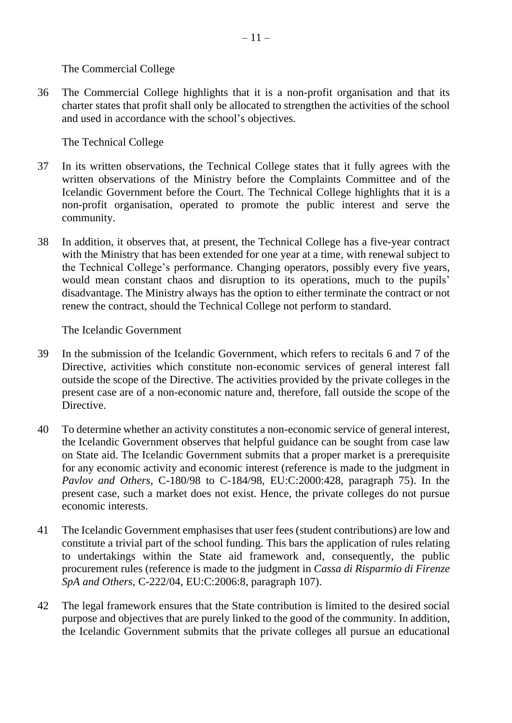The Commercial College

36 The Commercial College highlights that it is a non-profit organisation and that its charter states that profit shall only be allocated to strengthen the activities of the school and used in accordance with the school's objectives.

The Technical College

- 37 In its written observations, the Technical College states that it fully agrees with the written observations of the Ministry before the Complaints Committee and of the Icelandic Government before the Court. The Technical College highlights that it is a non-profit organisation, operated to promote the public interest and serve the community.
- 38 In addition, it observes that, at present, the Technical College has a five-year contract with the Ministry that has been extended for one year at a time, with renewal subject to the Technical College's performance. Changing operators, possibly every five years, would mean constant chaos and disruption to its operations, much to the pupils' disadvantage. The Ministry always has the option to either terminate the contract or not renew the contract, should the Technical College not perform to standard.

The Icelandic Government

- 39 In the submission of the Icelandic Government, which refers to recitals 6 and 7 of the Directive, activities which constitute non-economic services of general interest fall outside the scope of the Directive. The activities provided by the private colleges in the present case are of a non-economic nature and, therefore, fall outside the scope of the Directive.
- 40 To determine whether an activity constitutes a non-economic service of general interest, the Icelandic Government observes that helpful guidance can be sought from case law on State aid. The Icelandic Government submits that a proper market is a prerequisite for any economic activity and economic interest (reference is made to the judgment in *Pavlov and Others*, C-180/98 to C-184/98, EU:C:2000:428, paragraph 75). In the present case, such a market does not exist. Hence, the private colleges do not pursue economic interests.
- 41 The Icelandic Government emphasises that user fees (student contributions) are low and constitute a trivial part of the school funding. This bars the application of rules relating to undertakings within the State aid framework and, consequently, the public procurement rules (reference is made to the judgment in *Cassa di Risparmio di Firenze SpA and Others*, C-222/04, EU:C:2006:8, paragraph 107).
- 42 The legal framework ensures that the State contribution is limited to the desired social purpose and objectives that are purely linked to the good of the community. In addition, the Icelandic Government submits that the private colleges all pursue an educational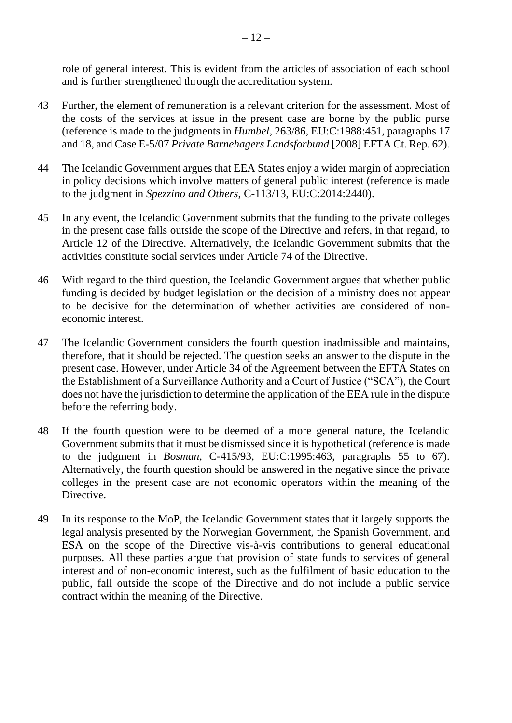role of general interest. This is evident from the articles of association of each school and is further strengthened through the accreditation system.

- 43 Further, the element of remuneration is a relevant criterion for the assessment. Most of the costs of the services at issue in the present case are borne by the public purse (reference is made to the judgments in *Humbel*, 263/86, EU:C:1988:451, paragraphs 17 and 18, and Case E-5/07 *Private Barnehagers Landsforbund* [2008] EFTA Ct. Rep. 62)*.*
- 44 The Icelandic Government argues that EEA States enjoy a wider margin of appreciation in policy decisions which involve matters of general public interest (reference is made to the judgment in *Spezzino and Others*, C-113/13, EU:C:2014:2440).
- 45 In any event, the Icelandic Government submits that the funding to the private colleges in the present case falls outside the scope of the Directive and refers, in that regard, to Article 12 of the Directive. Alternatively, the Icelandic Government submits that the activities constitute social services under Article 74 of the Directive.
- 46 With regard to the third question, the Icelandic Government argues that whether public funding is decided by budget legislation or the decision of a ministry does not appear to be decisive for the determination of whether activities are considered of noneconomic interest.
- 47 The Icelandic Government considers the fourth question inadmissible and maintains, therefore, that it should be rejected. The question seeks an answer to the dispute in the present case. However, under Article 34 of the Agreement between the EFTA States on the Establishment of a Surveillance Authority and a Court of Justice ("SCA"), the Court does not have the jurisdiction to determine the application of the EEA rule in the dispute before the referring body.
- 48 If the fourth question were to be deemed of a more general nature, the Icelandic Government submits that it must be dismissed since it is hypothetical (reference is made to the judgment in *Bosman*, C-415/93, EU:C:1995:463, paragraphs 55 to 67). Alternatively, the fourth question should be answered in the negative since the private colleges in the present case are not economic operators within the meaning of the Directive.
- 49 In its response to the MoP, the Icelandic Government states that it largely supports the legal analysis presented by the Norwegian Government, the Spanish Government, and ESA on the scope of the Directive vis-à-vis contributions to general educational purposes. All these parties argue that provision of state funds to services of general interest and of non-economic interest, such as the fulfilment of basic education to the public, fall outside the scope of the Directive and do not include a public service contract within the meaning of the Directive.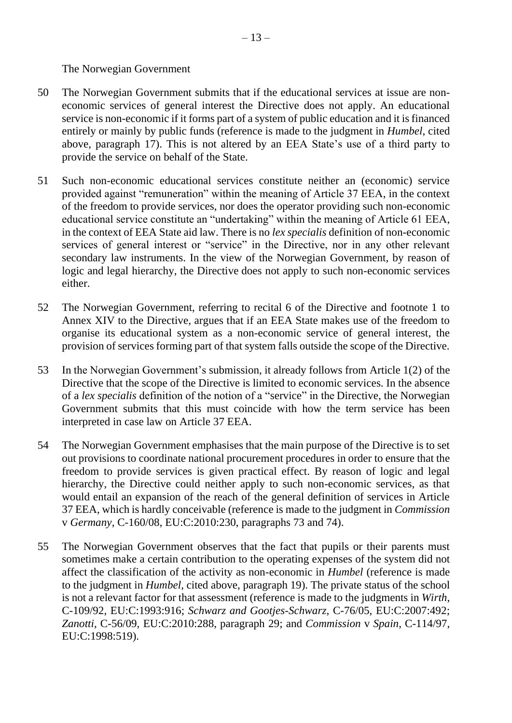### The Norwegian Government

- 50 The Norwegian Government submits that if the educational services at issue are noneconomic services of general interest the Directive does not apply. An educational service is non-economic if it forms part of a system of public education and it is financed entirely or mainly by public funds (reference is made to the judgment in *Humbel*, cited above, paragraph 17). This is not altered by an EEA State's use of a third party to provide the service on behalf of the State.
- 51 Such non-economic educational services constitute neither an (economic) service provided against "remuneration" within the meaning of Article 37 EEA, in the context of the freedom to provide services, nor does the operator providing such non-economic educational service constitute an "undertaking" within the meaning of Article 61 EEA, in the context of EEA State aid law. There is no *lex specialis* definition of non-economic services of general interest or "service" in the Directive, nor in any other relevant secondary law instruments. In the view of the Norwegian Government, by reason of logic and legal hierarchy, the Directive does not apply to such non-economic services either.
- 52 The Norwegian Government, referring to recital 6 of the Directive and footnote 1 to Annex XIV to the Directive, argues that if an EEA State makes use of the freedom to organise its educational system as a non-economic service of general interest, the provision of services forming part of that system falls outside the scope of the Directive.
- 53 In the Norwegian Government's submission, it already follows from Article 1(2) of the Directive that the scope of the Directive is limited to economic services. In the absence of a *lex specialis* definition of the notion of a "service" in the Directive, the Norwegian Government submits that this must coincide with how the term service has been interpreted in case law on Article 37 EEA.
- 54 The Norwegian Government emphasises that the main purpose of the Directive is to set out provisions to coordinate national procurement procedures in order to ensure that the freedom to provide services is given practical effect. By reason of logic and legal hierarchy, the Directive could neither apply to such non-economic services, as that would entail an expansion of the reach of the general definition of services in Article 37 EEA, which is hardly conceivable (reference is made to the judgment in *Commission*  v *Germany*, C-160/08, EU:C:2010:230, paragraphs 73 and 74).
- 55 The Norwegian Government observes that the fact that pupils or their parents must sometimes make a certain contribution to the operating expenses of the system did not affect the classification of the activity as non-economic in *Humbel* (reference is made to the judgment in *Humbel*, cited above, paragraph 19). The private status of the school is not a relevant factor for that assessment (reference is made to the judgments in *Wirth*, C-109/92, EU:C:1993:916; *Schwarz and Gootjes-Schwarz*, C-76/05, EU:C:2007:492; *Zanotti*, C-56/09*,* EU:C:2010:288, paragraph 29; and *Commission* v *Spain*, C-114/97, EU:C:1998:519).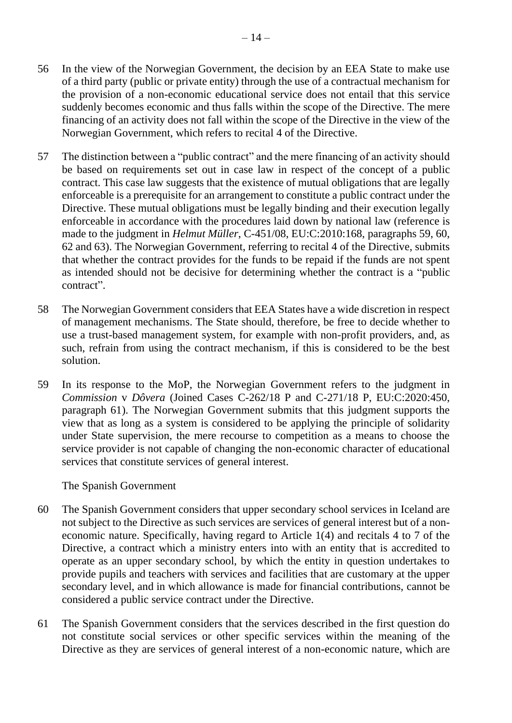- 56 In the view of the Norwegian Government, the decision by an EEA State to make use of a third party (public or private entity) through the use of a contractual mechanism for the provision of a non-economic educational service does not entail that this service suddenly becomes economic and thus falls within the scope of the Directive. The mere financing of an activity does not fall within the scope of the Directive in the view of the Norwegian Government, which refers to recital 4 of the Directive.
- 57 The distinction between a "public contract" and the mere financing of an activity should be based on requirements set out in case law in respect of the concept of a public contract. This case law suggests that the existence of mutual obligations that are legally enforceable is a prerequisite for an arrangement to constitute a public contract under the Directive. These mutual obligations must be legally binding and their execution legally enforceable in accordance with the procedures laid down by national law (reference is made to the judgment in *Helmut Müller*, C-451/08, EU:C:2010:168, paragraphs 59, 60, 62 and 63). The Norwegian Government, referring to recital 4 of the Directive, submits that whether the contract provides for the funds to be repaid if the funds are not spent as intended should not be decisive for determining whether the contract is a "public contract".
- 58 The Norwegian Government considers that EEA States have a wide discretion in respect of management mechanisms. The State should, therefore, be free to decide whether to use a trust-based management system, for example with non-profit providers, and, as such, refrain from using the contract mechanism, if this is considered to be the best solution.
- 59 In its response to the MoP, the Norwegian Government refers to the judgment in *Commission* v *Dôvera* (Joined Cases C-262/18 P and C-271/18 P, EU:C:2020:450, paragraph 61). The Norwegian Government submits that this judgment supports the view that as long as a system is considered to be applying the principle of solidarity under State supervision, the mere recourse to competition as a means to choose the service provider is not capable of changing the non-economic character of educational services that constitute services of general interest.

The Spanish Government

- 60 The Spanish Government considers that upper secondary school services in Iceland are not subject to the Directive as such services are services of general interest but of a noneconomic nature. Specifically, having regard to Article 1(4) and recitals 4 to 7 of the Directive, a contract which a ministry enters into with an entity that is accredited to operate as an upper secondary school, by which the entity in question undertakes to provide pupils and teachers with services and facilities that are customary at the upper secondary level, and in which allowance is made for financial contributions, cannot be considered a public service contract under the Directive.
- 61 The Spanish Government considers that the services described in the first question do not constitute social services or other specific services within the meaning of the Directive as they are services of general interest of a non-economic nature, which are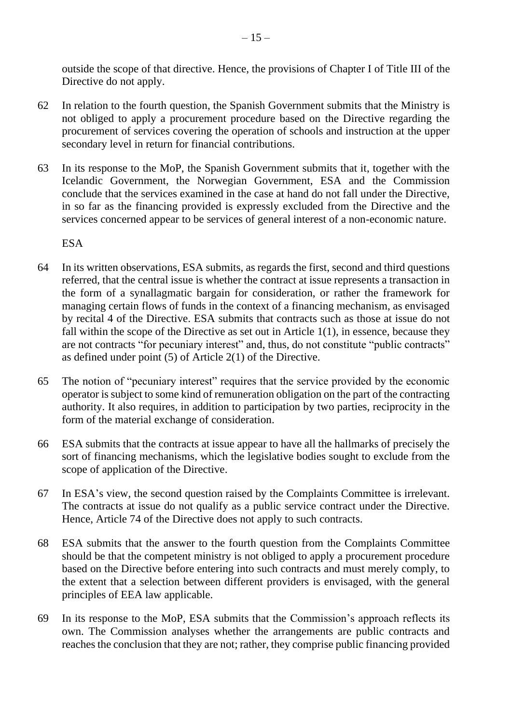outside the scope of that directive. Hence, the provisions of Chapter I of Title III of the Directive do not apply.

- 62 In relation to the fourth question, the Spanish Government submits that the Ministry is not obliged to apply a procurement procedure based on the Directive regarding the procurement of services covering the operation of schools and instruction at the upper secondary level in return for financial contributions.
- 63 In its response to the MoP, the Spanish Government submits that it, together with the Icelandic Government, the Norwegian Government, ESA and the Commission conclude that the services examined in the case at hand do not fall under the Directive, in so far as the financing provided is expressly excluded from the Directive and the services concerned appear to be services of general interest of a non-economic nature.

ESA

- 64 In its written observations, ESA submits, as regards the first, second and third questions referred, that the central issue is whether the contract at issue represents a transaction in the form of a synallagmatic bargain for consideration, or rather the framework for managing certain flows of funds in the context of a financing mechanism, as envisaged by recital 4 of the Directive. ESA submits that contracts such as those at issue do not fall within the scope of the Directive as set out in Article 1(1), in essence, because they are not contracts "for pecuniary interest" and, thus, do not constitute "public contracts" as defined under point (5) of Article 2(1) of the Directive.
- 65 The notion of "pecuniary interest" requires that the service provided by the economic operator is subject to some kind of remuneration obligation on the part of the contracting authority. It also requires, in addition to participation by two parties, reciprocity in the form of the material exchange of consideration.
- 66 ESA submits that the contracts at issue appear to have all the hallmarks of precisely the sort of financing mechanisms, which the legislative bodies sought to exclude from the scope of application of the Directive.
- 67 In ESA's view, the second question raised by the Complaints Committee is irrelevant. The contracts at issue do not qualify as a public service contract under the Directive. Hence, Article 74 of the Directive does not apply to such contracts.
- 68 ESA submits that the answer to the fourth question from the Complaints Committee should be that the competent ministry is not obliged to apply a procurement procedure based on the Directive before entering into such contracts and must merely comply, to the extent that a selection between different providers is envisaged, with the general principles of EEA law applicable.
- 69 In its response to the MoP, ESA submits that the Commission's approach reflects its own. The Commission analyses whether the arrangements are public contracts and reaches the conclusion that they are not; rather, they comprise public financing provided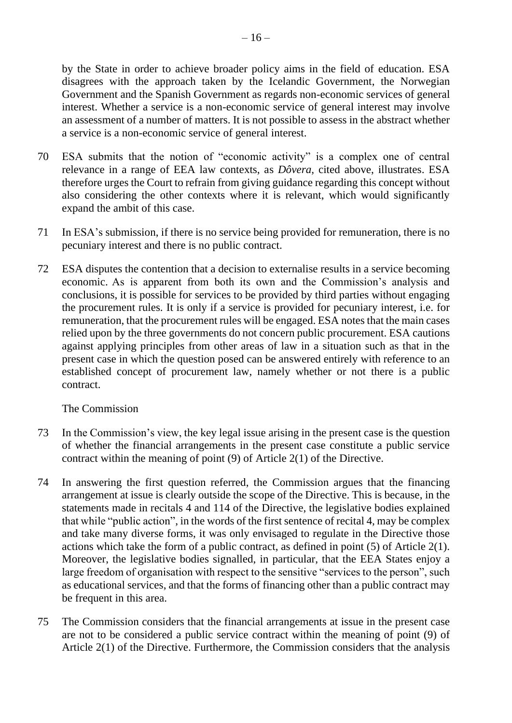by the State in order to achieve broader policy aims in the field of education. ESA disagrees with the approach taken by the Icelandic Government, the Norwegian Government and the Spanish Government as regards non-economic services of general interest. Whether a service is a non-economic service of general interest may involve an assessment of a number of matters. It is not possible to assess in the abstract whether a service is a non-economic service of general interest.

- 70 ESA submits that the notion of "economic activity" is a complex one of central relevance in a range of EEA law contexts, as *Dôvera*, cited above, illustrates. ESA therefore urges the Court to refrain from giving guidance regarding this concept without also considering the other contexts where it is relevant, which would significantly expand the ambit of this case.
- 71 In ESA's submission, if there is no service being provided for remuneration, there is no pecuniary interest and there is no public contract.
- 72 ESA disputes the contention that a decision to externalise results in a service becoming economic. As is apparent from both its own and the Commission's analysis and conclusions, it is possible for services to be provided by third parties without engaging the procurement rules. It is only if a service is provided for pecuniary interest, i.e. for remuneration, that the procurement rules will be engaged. ESA notes that the main cases relied upon by the three governments do not concern public procurement. ESA cautions against applying principles from other areas of law in a situation such as that in the present case in which the question posed can be answered entirely with reference to an established concept of procurement law, namely whether or not there is a public contract.

The Commission

- 73 In the Commission's view, the key legal issue arising in the present case is the question of whether the financial arrangements in the present case constitute a public service contract within the meaning of point (9) of Article 2(1) of the Directive.
- 74 In answering the first question referred, the Commission argues that the financing arrangement at issue is clearly outside the scope of the Directive. This is because, in the statements made in recitals 4 and 114 of the Directive, the legislative bodies explained that while "public action", in the words of the first sentence of recital 4, may be complex and take many diverse forms, it was only envisaged to regulate in the Directive those actions which take the form of a public contract, as defined in point (5) of Article 2(1). Moreover, the legislative bodies signalled, in particular, that the EEA States enjoy a large freedom of organisation with respect to the sensitive "services to the person", such as educational services, and that the forms of financing other than a public contract may be frequent in this area.
- 75 The Commission considers that the financial arrangements at issue in the present case are not to be considered a public service contract within the meaning of point (9) of Article 2(1) of the Directive. Furthermore, the Commission considers that the analysis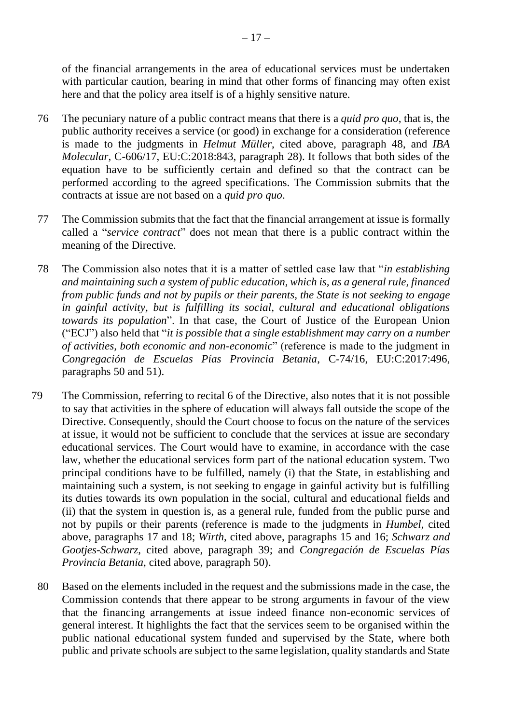of the financial arrangements in the area of educational services must be undertaken with particular caution, bearing in mind that other forms of financing may often exist here and that the policy area itself is of a highly sensitive nature.

- 76 The pecuniary nature of a public contract means that there is a *quid pro quo*, that is, the public authority receives a service (or good) in exchange for a consideration (reference is made to the judgments in *Helmut Müller*, cited above, paragraph 48, and *IBA Molecular*, C-606/17, EU:C:2018:843, paragraph 28). It follows that both sides of the equation have to be sufficiently certain and defined so that the contract can be performed according to the agreed specifications. The Commission submits that the contracts at issue are not based on a *quid pro quo*.
- 77 The Commission submits that the fact that the financial arrangement at issue is formally called a "*service contract*" does not mean that there is a public contract within the meaning of the Directive.
- 78 The Commission also notes that it is a matter of settled case law that "*in establishing and maintaining such a system of public education, which is, as a general rule, financed from public funds and not by pupils or their parents, the State is not seeking to engage in gainful activity, but is fulfilling its social, cultural and educational obligations towards its population*". In that case, the Court of Justice of the European Union ("ECJ") also held that "*it is possible that a single establishment may carry on a number of activities, both economic and non-economic*" (reference is made to the judgment in *Congregación de Escuelas Pías Provincia Betania*, C-74/16, EU:C:2017:496, paragraphs 50 and 51).
- 79 The Commission, referring to recital 6 of the Directive, also notes that it is not possible to say that activities in the sphere of education will always fall outside the scope of the Directive. Consequently, should the Court choose to focus on the nature of the services at issue, it would not be sufficient to conclude that the services at issue are secondary educational services. The Court would have to examine, in accordance with the case law, whether the educational services form part of the national education system. Two principal conditions have to be fulfilled, namely (i) that the State, in establishing and maintaining such a system, is not seeking to engage in gainful activity but is fulfilling its duties towards its own population in the social, cultural and educational fields and (ii) that the system in question is, as a general rule, funded from the public purse and not by pupils or their parents (reference is made to the judgments in *Humbel*, cited above, paragraphs 17 and 18; *Wirth*, cited above, paragraphs 15 and 16; *Schwarz and Gootjes-Schwarz*, cited above, paragraph 39; and *Congregación de Escuelas Pías Provincia Betania*, cited above, paragraph 50).
	- 80 Based on the elements included in the request and the submissions made in the case, the Commission contends that there appear to be strong arguments in favour of the view that the financing arrangements at issue indeed finance non-economic services of general interest. It highlights the fact that the services seem to be organised within the public national educational system funded and supervised by the State, where both public and private schools are subject to the same legislation, quality standards and State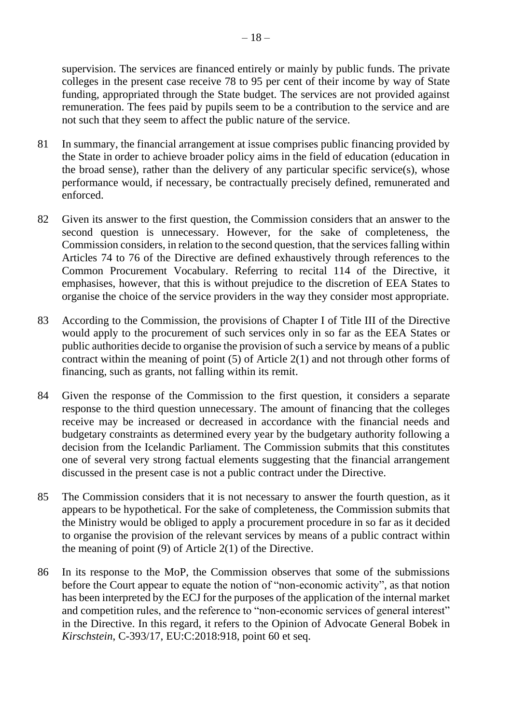supervision. The services are financed entirely or mainly by public funds. The private colleges in the present case receive 78 to 95 per cent of their income by way of State funding, appropriated through the State budget. The services are not provided against remuneration. The fees paid by pupils seem to be a contribution to the service and are not such that they seem to affect the public nature of the service.

- 81 In summary, the financial arrangement at issue comprises public financing provided by the State in order to achieve broader policy aims in the field of education (education in the broad sense), rather than the delivery of any particular specific service(s), whose performance would, if necessary, be contractually precisely defined, remunerated and enforced.
- 82 Given its answer to the first question, the Commission considers that an answer to the second question is unnecessary. However, for the sake of completeness, the Commission considers, in relation to the second question, that the services falling within Articles 74 to 76 of the Directive are defined exhaustively through references to the Common Procurement Vocabulary. Referring to recital 114 of the Directive, it emphasises, however, that this is without prejudice to the discretion of EEA States to organise the choice of the service providers in the way they consider most appropriate.
- 83 According to the Commission, the provisions of Chapter I of Title III of the Directive would apply to the procurement of such services only in so far as the EEA States or public authorities decide to organise the provision of such a service by means of a public contract within the meaning of point (5) of Article 2(1) and not through other forms of financing, such as grants, not falling within its remit.
- 84 Given the response of the Commission to the first question, it considers a separate response to the third question unnecessary. The amount of financing that the colleges receive may be increased or decreased in accordance with the financial needs and budgetary constraints as determined every year by the budgetary authority following a decision from the Icelandic Parliament. The Commission submits that this constitutes one of several very strong factual elements suggesting that the financial arrangement discussed in the present case is not a public contract under the Directive.
- 85 The Commission considers that it is not necessary to answer the fourth question, as it appears to be hypothetical. For the sake of completeness, the Commission submits that the Ministry would be obliged to apply a procurement procedure in so far as it decided to organise the provision of the relevant services by means of a public contract within the meaning of point (9) of Article 2(1) of the Directive.
- 86 In its response to the MoP, the Commission observes that some of the submissions before the Court appear to equate the notion of "non-economic activity", as that notion has been interpreted by the ECJ for the purposes of the application of the internal market and competition rules, and the reference to "non-economic services of general interest" in the Directive. In this regard, it refers to the Opinion of Advocate General Bobek in *Kirschstein*, C-393/17, EU:C:2018:918, point 60 et seq.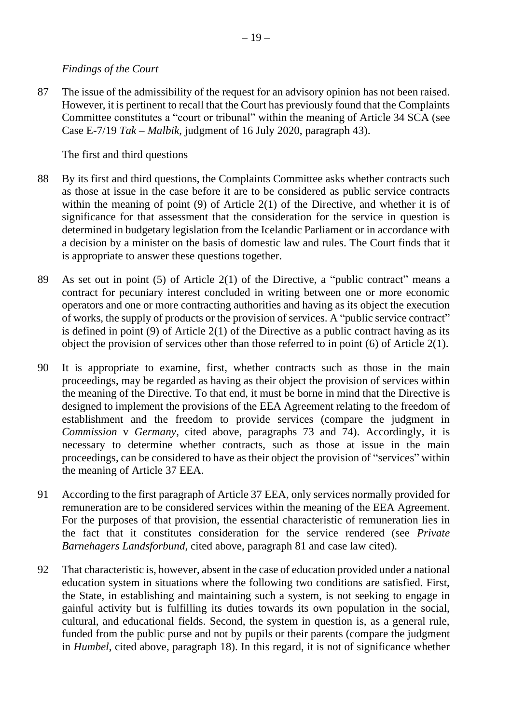#### *Findings of the Court*

87 The issue of the admissibility of the request for an advisory opinion has not been raised. However, it is pertinent to recall that the Court has previously found that the Complaints Committee constitutes a "court or tribunal" within the meaning of Article 34 SCA (see Case E-7/19 *Tak – Malbik*, judgment of 16 July 2020, paragraph 43).

The first and third questions

- 88 By its first and third questions, the Complaints Committee asks whether contracts such as those at issue in the case before it are to be considered as public service contracts within the meaning of point (9) of Article 2(1) of the Directive, and whether it is of significance for that assessment that the consideration for the service in question is determined in budgetary legislation from the Icelandic Parliament or in accordance with a decision by a minister on the basis of domestic law and rules. The Court finds that it is appropriate to answer these questions together.
- 89 As set out in point (5) of Article 2(1) of the Directive, a "public contract" means a contract for pecuniary interest concluded in writing between one or more economic operators and one or more contracting authorities and having as its object the execution of works, the supply of products or the provision of services. A "public service contract" is defined in point (9) of Article 2(1) of the Directive as a public contract having as its object the provision of services other than those referred to in point (6) of Article 2(1).
- 90 It is appropriate to examine, first, whether contracts such as those in the main proceedings, may be regarded as having as their object the provision of services within the meaning of the Directive. To that end, it must be borne in mind that the Directive is designed to implement the provisions of the EEA Agreement relating to the freedom of establishment and the freedom to provide services (compare the judgment in *Commission* v *Germany*, cited above, paragraphs 73 and 74). Accordingly, it is necessary to determine whether contracts, such as those at issue in the main proceedings, can be considered to have as their object the provision of "services" within the meaning of Article 37 EEA.
- 91 According to the first paragraph of Article 37 EEA, only services normally provided for remuneration are to be considered services within the meaning of the EEA Agreement. For the purposes of that provision, the essential characteristic of remuneration lies in the fact that it constitutes consideration for the service rendered (see *Private Barnehagers Landsforbund*, cited above, paragraph 81 and case law cited).
- 92 That characteristic is, however, absent in the case of education provided under a national education system in situations where the following two conditions are satisfied. First, the State, in establishing and maintaining such a system, is not seeking to engage in gainful activity but is fulfilling its duties towards its own population in the social, cultural, and educational fields. Second, the system in question is, as a general rule, funded from the public purse and not by pupils or their parents (compare the judgment in *Humbel*, cited above, paragraph 18). In this regard, it is not of significance whether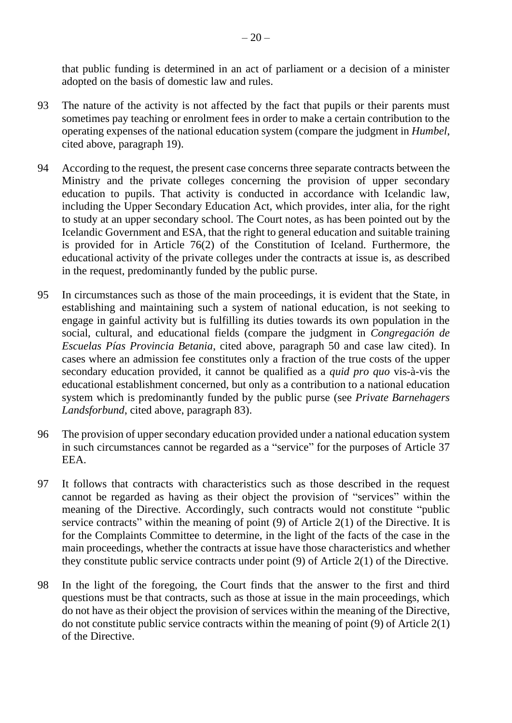that public funding is determined in an act of parliament or a decision of a minister adopted on the basis of domestic law and rules.

- 93 The nature of the activity is not affected by the fact that pupils or their parents must sometimes pay teaching or enrolment fees in order to make a certain contribution to the operating expenses of the national education system (compare the judgment in *Humbel*, cited above, paragraph 19).
- 94 According to the request, the present case concerns three separate contracts between the Ministry and the private colleges concerning the provision of upper secondary education to pupils. That activity is conducted in accordance with Icelandic law, including the Upper Secondary Education Act, which provides, inter alia, for the right to study at an upper secondary school. The Court notes, as has been pointed out by the Icelandic Government and ESA, that the right to general education and suitable training is provided for in Article 76(2) of the Constitution of Iceland. Furthermore, the educational activity of the private colleges under the contracts at issue is, as described in the request, predominantly funded by the public purse.
- 95 In circumstances such as those of the main proceedings, it is evident that the State, in establishing and maintaining such a system of national education, is not seeking to engage in gainful activity but is fulfilling its duties towards its own population in the social, cultural, and educational fields (compare the judgment in *Congregación de Escuelas Pías Provincia Betania*, cited above, paragraph 50 and case law cited). In cases where an admission fee constitutes only a fraction of the true costs of the upper secondary education provided, it cannot be qualified as a *quid pro quo* vis-à-vis the educational establishment concerned, but only as a contribution to a national education system which is predominantly funded by the public purse (see *Private Barnehagers Landsforbund*, cited above, paragraph 83).
- 96 The provision of upper secondary education provided under a national education system in such circumstances cannot be regarded as a "service" for the purposes of Article 37 EEA.
- 97 It follows that contracts with characteristics such as those described in the request cannot be regarded as having as their object the provision of "services" within the meaning of the Directive. Accordingly, such contracts would not constitute "public service contracts" within the meaning of point (9) of Article 2(1) of the Directive. It is for the Complaints Committee to determine, in the light of the facts of the case in the main proceedings, whether the contracts at issue have those characteristics and whether they constitute public service contracts under point (9) of Article 2(1) of the Directive.
- 98 In the light of the foregoing, the Court finds that the answer to the first and third questions must be that contracts, such as those at issue in the main proceedings, which do not have as their object the provision of services within the meaning of the Directive, do not constitute public service contracts within the meaning of point (9) of Article 2(1) of the Directive.